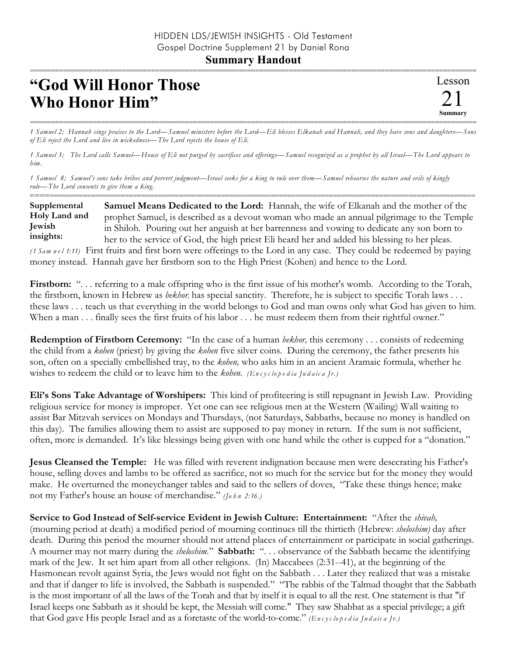## **Summary Handout**

## **"God Will Honor Those Who Honor Him"**

=========================================================================================================== *1 Samuel 2; Hannah sings praises to the Lord—Samuel ministers before the Lord—Eli blesses Elkanah and Hannah, and they have sons and daughters—Sons of Eli reject the Lord and live in wickedness—The Lord rejects the house of Eli.*

*1 Samuel 3; The Lord calls Samuel—House of Eli not purged by sacrifices and offerings—Samuel recognized as a prophet by all Israel—The Lord appears to him.*

*1 Samuel 8; Samuel's sons take bribes and pervert judgment—Israel seeks for a king to rule over them—Samuel rehearses the nature and evils of kingly rule—The Lord consents to give them a king.*

========================================================================================================== **Samuel Means Dedicated to the Lord:** Hannah, the wife of Elkanah and the mother of the prophet Samuel, is described as a devout woman who made an annual pilgrimage to the Temple in Shiloh. Pouring out her anguish at her barrenness and vowing to dedicate any son born to her to the service of God, the high priest Eli heard her and added his blessing to her pleas. **Supplemental Holy Land and Jewish insights:**

*(1 Sam u e l 1:11)* First fruits and first born were offerings to the Lord in any case. They could be redeemed by paying money instead. Hannah gave her firstborn son to the High Priest (Kohen) and hence to the Lord.

**Firstborn:** "... referring to a male offspring who is the first issue of his mother's womb. According to the Torah, the firstborn, known in Hebrew as *bekhor,* has special sanctity. Therefore, he is subject to specific Torah laws . . . these laws . . . teach us that everything in the world belongs to God and man owns only what God has given to him. When a man . . . finally sees the first fruits of his labor . . . he must redeem them from their rightful owner."

**Redemption of Firstborn Ceremony:** "In the case of a human *bekhor*, this ceremony . . . consists of redeeming the child from a *kohen* (priest) by giving the *kohen* five silver coins. During the ceremony, the father presents his son, often on a specially embellished tray, to the *kohen,* who asks him in an ancient Aramaic formula, whether he wishes to redeem the child or to leave him to the *kohen. (En c y c lo p e d ia Ju d a ic a Jr.)*

**Eli's Sons Take Advantage of Worshipers:** This kind of profiteering is still repugnant in Jewish Law. Providing religious service for money is improper. Yet one can see religious men at the Western (Wailing) Wall waiting to assist Bar Mitzvah services on Mondays and Thursdays, (not Saturdays, Sabbaths, because no money is handled on this day). The families allowing them to assist are supposed to pay money in return. If the sum is not sufficient, often, more is demanded. It's like blessings being given with one hand while the other is cupped for a "donation."

**Jesus Cleansed the Temple:** He was filled with reverent indignation because men were desecrating his Father's house, selling doves and lambs to be offered as sacrifice, not so much for the service but for the money they would make. He overturned the moneychanger tables and said to the sellers of doves, "Take these things hence; make not my Father's house an house of merchandise." *(Jo h n 2:16.)*

**Service to God Instead of Self-service Evident in Jewish Culture: Entertainment:** "After the *shivah,* (mourning period at death) a modified period of mourning continues till the thirtieth (Hebrew: *sheloshim)* day after death. During this period the mourner should not attend places of entertainment or participate in social gatherings. A mourner may not marry during the *sheloshim.*" **Sabbath:** ". . . observance of the Sabbath became the identifying mark of the Jew. It set him apart from all other religions. (In) Maccabees (2:31--41), at the beginning of the Hasmonean revolt against Syria, the Jews would not fight on the Sabbath . . . Later they realized that was a mistake and that if danger to life is involved, the Sabbath is suspended." "The rabbis of the Talmud thought that the Sabbath is the most important of all the laws of the Torah and that by itself it is equal to all the rest. One statement is that "if Israel keeps one Sabbath as it should be kept, the Messiah will come." They saw Shabbat as a special privilege; a gift that God gave His people Israel and as a foretaste of the world-to-come." *(En c y c lo p e d ia Ju d aic a Jr.)*